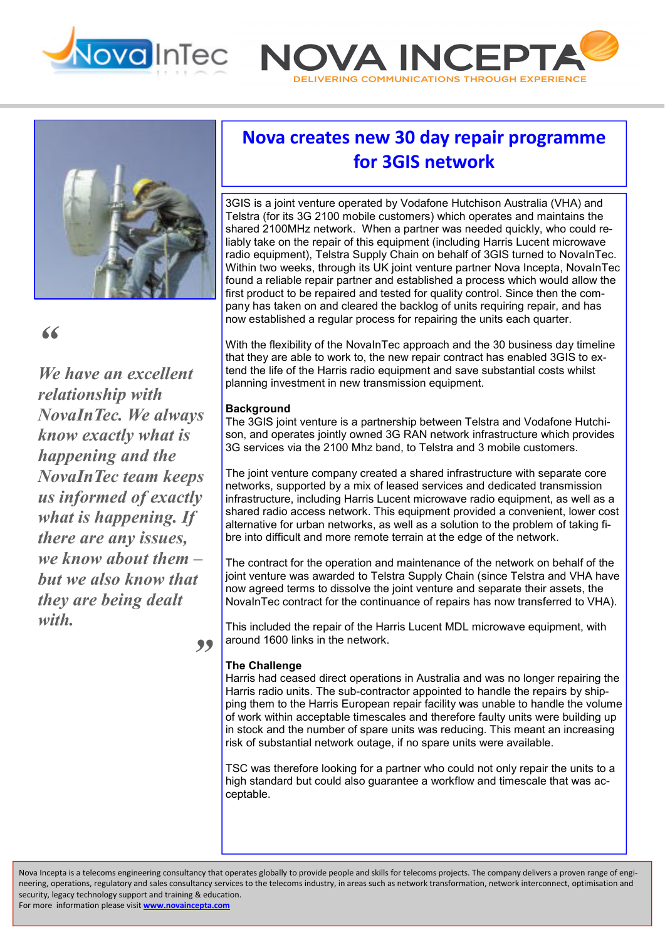





# *"*

*We have an excellent relationship with NovaInTec. We always know exactly what is happening and the NovaInTec team keeps us informed of exactly what is happening. If there are any issues, we know about them – but we also know that they are being dealt with.* 

# **Nova creates new 30 day repair programme for 3GIS network**

3GIS is a joint venture operated by Vodafone Hutchison Australia (VHA) and Telstra (for its 3G 2100 mobile customers) which operates and maintains the shared 2100MHz network. When a partner was needed quickly, who could reliably take on the repair of this equipment (including Harris Lucent microwave radio equipment), Telstra Supply Chain on behalf of 3GIS turned to NovaInTec. Within two weeks, through its UK joint venture partner Nova Incepta, NovaInTec found a reliable repair partner and established a process which would allow the first product to be repaired and tested for quality control. Since then the company has taken on and cleared the backlog of units requiring repair, and has now established a regular process for repairing the units each quarter.

With the flexibility of the NovaInTec approach and the 30 business day timeline that they are able to work to, the new repair contract has enabled 3GIS to extend the life of the Harris radio equipment and save substantial costs whilst planning investment in new transmission equipment.

## **Background**

The 3GIS joint venture is a partnership between Telstra and Vodafone Hutchison, and operates jointly owned 3G RAN network infrastructure which provides 3G services via the 2100 Mhz band, to Telstra and 3 mobile customers.

The joint venture company created a shared infrastructure with separate core networks, supported by a mix of leased services and dedicated transmission infrastructure, including Harris Lucent microwave radio equipment, as well as a shared radio access network. This equipment provided a convenient, lower cost alternative for urban networks, as well as a solution to the problem of taking fibre into difficult and more remote terrain at the edge of the network.

The contract for the operation and maintenance of the network on behalf of the joint venture was awarded to Telstra Supply Chain (since Telstra and VHA have now agreed terms to dissolve the joint venture and separate their assets, the NovaInTec contract for the continuance of repairs has now transferred to VHA).

This included the repair of the Harris Lucent MDL microwave equipment, with around 1600 links in the network.

### **The Challenge**

*"* 

Harris had ceased direct operations in Australia and was no longer repairing the Harris radio units. The sub-contractor appointed to handle the repairs by shipping them to the Harris European repair facility was unable to handle the volume of work within acceptable timescales and therefore faulty units were building up in stock and the number of spare units was reducing. This meant an increasing risk of substantial network outage, if no spare units were available.

TSC was therefore looking for a partner who could not only repair the units to a high standard but could also guarantee a workflow and timescale that was acceptable.

Nova Incepta is a telecoms engineering consultancy that operates globally to provide people and skills for telecoms projects. The company delivers a proven range of engineering, operations, regulatory and sales consultancy services to the telecoms industry, in areas such as network transformation, network interconnect, optimisation and security, legacy technology support and training & education.

For more information please visit **www.novaincepta.com**